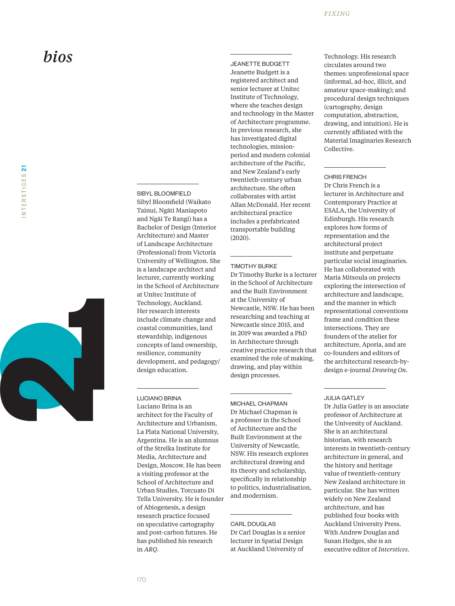

### SIBYL BLOOMFIELD

Sibyl Bloomfield (Waikato Tainui, Ngāti Maniapoto and Ngāi Te Rangi) has a Bachelor of Design (Interior Architecture) and Master of Landscape Architecture (Professional) from Victoria University of Wellington. She is a landscape architect and lecturer, currently working in the School of Architecture at Unitec Institute of Technology, Auckland. Her research interests include climate change and coastal communities, land stewardship, indigenous concepts of land ownership, resilience, community development, and pedagogy/ design education.

# LUCIANO BRINA

Luciano Brina is an architect for the Faculty of Architecture and Urbanism, La Plata National University, Argentina. He is an alumnus of the Strelka Institute for Media, Architecture and Design, Moscow. He has been a visiting professor at the School of Architecture and Urban Studies, Torcuato Di Tella University. He is founder of Abiogenesis, a design research practice focused on speculative cartography and post-carbon futures. He has published his research in *ARQ* .

```
JEANETTE BUDGETT
Jeanette Budgett is a 
registered architect and 
senior lecturer at Unitec 
Institute of Technology, 
where she teaches design 
and technology in the Master 
of Architecture programme. 
In previous research, she 
has investigated digital 
technologies, mission-
period and modern colonial 
architecture of the Pacific, 
and New Zealand's early 
twentieth-century urban 
architecture. She often 
collaborates with artist 
Allan McDonald. Her recent 
architectural practice 
includes a prefabricated 
transportable building 
(2020).
```
## TIMOTHY BURKE

Dr Timothy Burke is a lecturer in the School of Architecture and the Built Environment at the University of Newcastle, NSW. He has been researching and teaching at Newcastle since 2015, and in 2019 was awarded a PhD in Architecture through creative practice research that examined the role of making, drawing, and play within design processes.

MICHAEL CHAPMAN

Dr Michael Chapman is a professor in the School of Architecture and the Built Environment at the University of Newcastle, NSW. His research explores architectural drawing and its theory and scholarship, specifically in relationship to politics, industrialisation, and modernism.

## CARL DOUGLAS Dr Carl Douglas is a senior lecturer in Spatial Design at Auckland University of

Technology. His research circulates around two themes: unprofessional space (informal, ad-hoc, illicit, and amateur space-making); and procedural design techniques (cartography, design computation, abstraction, drawing, and intuition). He is currently affiliated with the Material Imaginaries Research Collective.

## CHRIS FRENCH

Dr Chris French is a lecturer in Architecture and Contemporary Practice at ESALA, the University of Edinburgh. His research explores how forms of representation and the architectural project institute and perpetuate particular social imaginaries. He has collaborated with Maria Mitsoula on projects exploring the intersection of architecture and landscape, and the manner in which representational conventions frame and condition these intersections. They are founders of the atelier for architecture, Aporia, and are co-founders and editors of the architectural research-bydesign e-journal *Drawing On*.

## JULIA GATLEY

Dr Julia Gatley is an associate professor of Architecture at the University of Auckland. She is an architectural historian, with research interests in twentieth-century architecture in general, and the history and heritage value of twentieth-century New Zealand architecture in particular. She has written widely on New Zealand architecture, and has published four books with Auckland University Press. With Andrew Douglas and Susan Hedges, she is an executive editor of *Interstices* .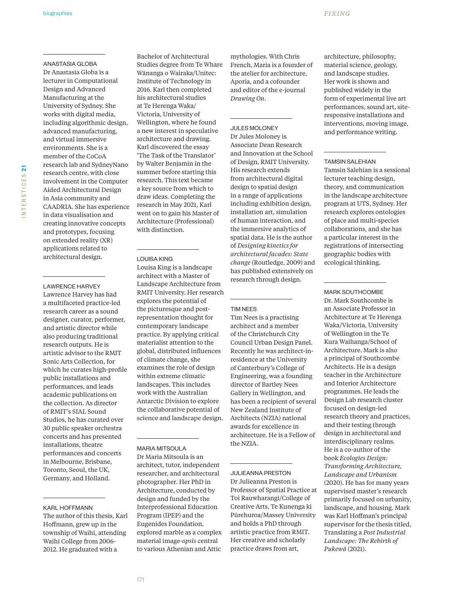ANASTASIA GLOBA Dr Anastasia Globa is a lecturer in Computational Design and Advanced Manufacturing at the University of Sydney. She works with digital media, including algorithmic design, advanced manufacturing, and virtual immersive environments. She is a member of the CoCoA research lab and SydneyNano research centre, with close involvement in the Computer Aided Architectural Design in Asia community and CAADRIA. She has experience in data visualisation and creating innovative concepts and prototypes, focusing on extended reality (XR) applications related to architectural design.

#### LAWRENCE HARVEY

Lawrence Harvey has had a multifaceted practice-led research career as a sound designer, curator, performer, and artistic director while also producing traditional research outputs. He is artistic advisor to the RMIT Sonic Arts Collection, for which he curates high-profile public installations and performances, and leads academic publications on the collection. As director of RMIT's SIAL Sound Studios, he has curated over 30 public speaker orchestra concerts and has presented installations, theatre performances and concerts in Melbourne, Brisbane, Toronto, Seoul, the UK, Germany, and Holland.

### KARL HOFFMANN

The author of this thesis, Karl Hoffmann, grew up in the township of Waihi, attending Waihi College from 2006- 2012. He graduated with a

Bachelor of Architectural Studies degree from Te Whare Wānanga o Wairaka/Unitec: Institute of Technology in 2016. Karl then completed his architectural studies at Te Herenga Waka/ Victoria, University of Wellington, where he found a new interest in speculative architecture and drawing. Karl discovered the essay 'The Task of the Translator' by Walter Benjamin in the summer before starting this research. This text became a key source from which to draw ideas. Completing the research in May 2021, Karl went on to gain his Master of Architecture (Professional) with distinction.

#### LOUISA KING

Louisa King is a landscape architect with a Master of Landscape Architecture from RMIT University. Her research explores the potential of the picturesque and postrepresentation thought for contemporary landscape practice. By applying critical materialist attention to the global, distributed influences of climate change, she examines the role of design within extreme climatic landscapes. This includes work with the Australian Antarctic Division to explore the collaborative potential of science and landscape design.

MARIA MITSOULA Dr Maria Mitsoula is an architect, tutor, independent researcher, and architectural photographer. Her PhD in Architecture, conducted by design and funded by the Interprofessional Education Program (IPEP) and the Eugenides Foundation, explored marble as a complex material image-*opsis* central to various Athenian and Attic

mythologies. With Chris French, Maria is a founder of the atelier for architecture, Aporia, and a cofounder and editor of the e-journal *Drawing On*.

JULES MOLONEY Dr Jules Moloney is Associate Dean Research and Innovation at the School of Design, RMIT University. His research extends from architectural digital design to spatial design in a range of applications including exhibition design, installation art, simulation of human interaction, and the immersive analytics of spatial data. He is the author of *Designing kinetics for architectural facades: State change* (Routledge, 2009) and has published extensively on research through design.

### TIM NEES

Tim Nees is a practising architect and a member of the Christchurch City Council Urban Design Panel. Recently he was architect-inresidence at the University of Canterbury's College of Engineering, was a founding director of Bartley Nees Gallery in Wellington, and has been a recipient of several New Zealand Institute of Architects (NZIA) national awards for excellence in architecture. He is a Fellow of the NZIA.

JULIEANNA PRESTON Dr Julieanna Preston is Professor of Spatial Practice at Toi Rauwharangi/College of Creative Arts, Te Kunenga ki Pūrehuroa/Massey University and holds a PhD through artistic practice from RMIT. Her creative and scholarly practice draws from art,

architecture, philosophy, material science, geology, and landscape studies. Her work is shown and published widely in the form of experimental live art performances, sound art, siteresponsive installations and interventions, moving image, and performance writing.

#### TAMSIN SALEHIAN

Tamsin Salehian is a sessional lecturer teaching design, theory, and communication in the landscape architecture program at UTS, Sydney. Her research explores ontologies of place and multi-species collaborations, and she has a particular interest in the registrations of intersecting geographic bodies with ecological thinking.

MARK SOUTHCOMBE Dr. Mark Southcombe is an Associate Professor in Architecture at Te Herenga Waka/Victoria, University of Wellington in the Te Kura Waihanga/School of Architecture. Mark is also a principal of Southcombe Architects. He is a design teacher in the Architecture and Interior Architecture programmes. He leads the Design Lab research cluster focused on design-led research theory and practices, and their testing through design in architectural and interdisciplinary realms. He is a co-author of the book *Ecologies Design: Transforming Architecture, Landscape and Urbanism*  (2020). He has for many years supervised master's research primarily focused on urbanity, landscape, and housing. Mark was Karl Hoffman's principal supervisor for the thesis titled, Translating a *Post Industrial Landscape: The Rebirth of Pukewā* (2021).